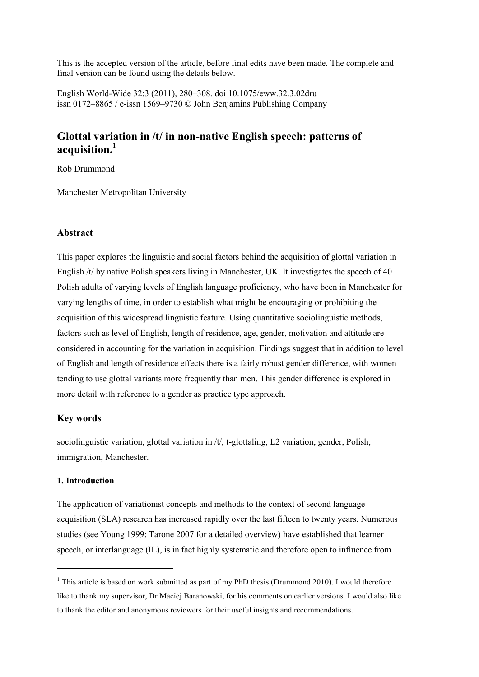This is the accepted version of the article, before final edits have been made. The complete and final version can be found using the details below.

English World-Wide 32:3 (2011), 280–308. doi 10.1075/eww.32.3.02dru issn 0172–8865 / e-issn 1569–9730 © John Benjamins Publishing Company

# **Glottal variation in /t/ in non-native English speech: patterns of acquisition.<sup>1</sup>**

Rob Drummond

Manchester Metropolitan University

## **Abstract**

This paper explores the linguistic and social factors behind the acquisition of glottal variation in English /t/ by native Polish speakers living in Manchester, UK. It investigates the speech of 40 Polish adults of varying levels of English language proficiency, who have been in Manchester for varying lengths of time, in order to establish what might be encouraging or prohibiting the acquisition of this widespread linguistic feature. Using quantitative sociolinguistic methods, factors such as level of English, length of residence, age, gender, motivation and attitude are considered in accounting for the variation in acquisition. Findings suggest that in addition to level of English and length of residence effects there is a fairly robust gender difference, with women tending to use glottal variants more frequently than men. This gender difference is explored in more detail with reference to a gender as practice type approach.

## **Key words**

sociolinguistic variation, glottal variation in /t/, t-glottaling, L2 variation, gender, Polish, immigration, Manchester.

### **1. Introduction**

l

The application of variationist concepts and methods to the context of second language acquisition (SLA) research has increased rapidly over the last fifteen to twenty years. Numerous studies (see Young 1999; Tarone 2007 for a detailed overview) have established that learner speech, or interlanguage (IL), is in fact highly systematic and therefore open to influence from

<sup>&</sup>lt;sup>1</sup> This article is based on work submitted as part of my PhD thesis (Drummond 2010). I would therefore like to thank my supervisor, Dr Maciej Baranowski, for his comments on earlier versions. I would also like to thank the editor and anonymous reviewers for their useful insights and recommendations.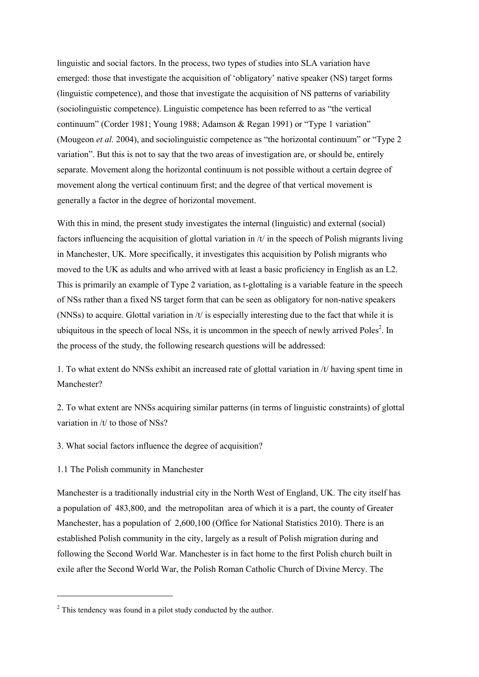linguistic and social factors. In the process, two types of studies into SLA variation have emerged: those that investigate the acquisition of 'obligatory' native speaker (NS) target forms (linguistic competence), and those that investigate the acquisition of NS patterns of variability (sociolinguistic competence). Linguistic competence has been referred to as "the vertical continuum" (Corder 1981; Young 1988; Adamson & Regan 1991) or "Type 1 variation" (Mougeon *et al.* 2004), and sociolinguistic competence as "the horizontal continuum" or "Type 2" variation". But this is not to say that the two areas of investigation are, or should be, entirely separate. Movement along the horizontal continuum is not possible without a certain degree of movement along the vertical continuum first; and the degree of that vertical movement is generally a factor in the degree of horizontal movement.

With this in mind, the present study investigates the internal (linguistic) and external (social) factors influencing the acquisition of glottal variation in /t/ in the speech of Polish migrants living in Manchester, UK. More specifically, it investigates this acquisition by Polish migrants who moved to the UK as adults and who arrived with at least a basic proficiency in English as an L2. This is primarily an example of Type 2 variation, as t-glottaling is a variable feature in the speech of NSs rather than a fixed NS target form that can be seen as obligatory for non-native speakers (NNSs) to acquire. Glottal variation in  $/t/$  is especially interesting due to the fact that while it is ubiquitous in the speech of local NSs, it is uncommon in the speech of newly arrived  $Poles<sup>2</sup>$ . In the process of the study, the following research questions will be addressed:

1. To what extent do NNSs exhibit an increased rate of glottal variation in /t/ having spent time in Manchester?

2. To what extent are NNSs acquiring similar patterns (in terms of linguistic constraints) of glottal variation in /t/ to those of NSs?

3. What social factors influence the degree of acquisition?

#### 1.1 The Polish community in Manchester

l

Manchester is a traditionally industrial city in the North West of England, UK. The city itself has a population of 483,800, and the metropolitan area of which it is a part, the county of Greater Manchester, has a population of 2,600,100 (Office for National Statistics 2010). There is an established Polish community in the city, largely as a result of Polish migration during and following the Second World War. Manchester is in fact home to the first Polish church built in exile after the Second World War, the Polish Roman Catholic Church of Divine Mercy. The

<sup>&</sup>lt;sup>2</sup> This tendency was found in a pilot study conducted by the author.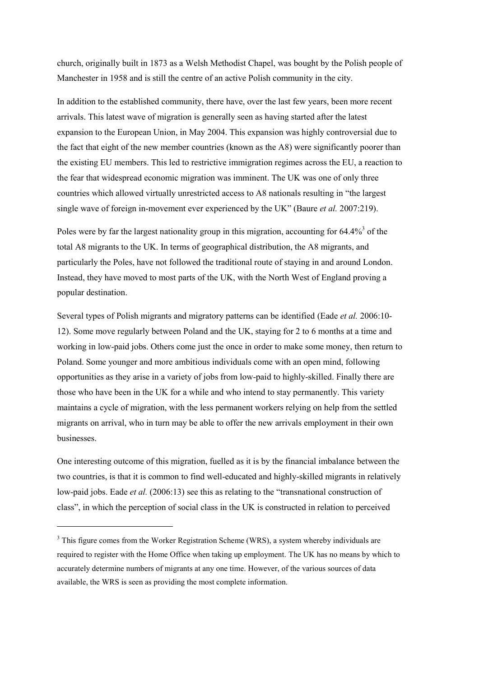church, originally built in 1873 as a Welsh Methodist Chapel, was bought by the Polish people of Manchester in 1958 and is still the centre of an active Polish community in the city.

In addition to the established community, there have, over the last few years, been more recent arrivals. This latest wave of migration is generally seen as having started after the latest expansion to the European Union, in May 2004. This expansion was highly controversial due to the fact that eight of the new member countries (known as the A8) were significantly poorer than the existing EU members. This led to restrictive immigration regimes across the EU, a reaction to the fear that widespread economic migration was imminent. The UK was one of only three countries which allowed virtually unrestricted access to A8 nationals resulting in "the largest single wave of foreign in-movement ever experienced by the UK" (Baure *et al.* 2007:219).

Poles were by far the largest nationality group in this migration, accounting for 64.4%<sup>3</sup> of the total A8 migrants to the UK. In terms of geographical distribution, the A8 migrants, and particularly the Poles, have not followed the traditional route of staying in and around London. Instead, they have moved to most parts of the UK, with the North West of England proving a popular destination.

Several types of Polish migrants and migratory patterns can be identified (Eade *et al.* 2006:10- 12). Some move regularly between Poland and the UK, staying for 2 to 6 months at a time and working in low-paid jobs. Others come just the once in order to make some money, then return to Poland. Some younger and more ambitious individuals come with an open mind, following opportunities as they arise in a variety of jobs from low-paid to highly-skilled. Finally there are those who have been in the UK for a while and who intend to stay permanently. This variety maintains a cycle of migration, with the less permanent workers relying on help from the settled migrants on arrival, who in turn may be able to offer the new arrivals employment in their own businesses.

One interesting outcome of this migration, fuelled as it is by the financial imbalance between the two countries, is that it is common to find well-educated and highly-skilled migrants in relatively low-paid jobs. Eade *et al.* (2006:13) see this as relating to the "transnational construction of class", in which the perception of social class in the UK is constructed in relation to perceived

l

<sup>&</sup>lt;sup>3</sup> This figure comes from the Worker Registration Scheme (WRS), a system whereby individuals are required to register with the Home Office when taking up employment. The UK has no means by which to accurately determine numbers of migrants at any one time. However, of the various sources of data available, the WRS is seen as providing the most complete information.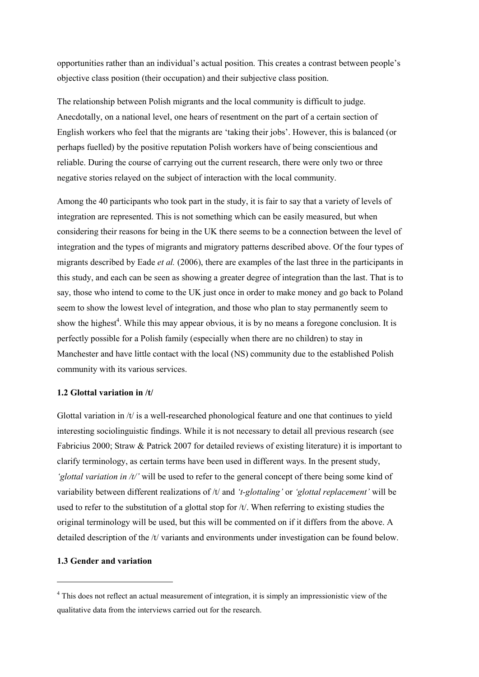opportunities rather than an individual's actual position. This creates a contrast between people's objective class position (their occupation) and their subjective class position.

The relationship between Polish migrants and the local community is difficult to judge. Anecdotally, on a national level, one hears of resentment on the part of a certain section of English workers who feel that the migrants are 'taking their jobs'. However, this is balanced (or perhaps fuelled) by the positive reputation Polish workers have of being conscientious and reliable. During the course of carrying out the current research, there were only two or three negative stories relayed on the subject of interaction with the local community.

Among the 40 participants who took part in the study, it is fair to say that a variety of levels of integration are represented. This is not something which can be easily measured, but when considering their reasons for being in the UK there seems to be a connection between the level of integration and the types of migrants and migratory patterns described above. Of the four types of migrants described by Eade *et al.* (2006), there are examples of the last three in the participants in this study, and each can be seen as showing a greater degree of integration than the last. That is to say, those who intend to come to the UK just once in order to make money and go back to Poland seem to show the lowest level of integration, and those who plan to stay permanently seem to show the highest<sup>4</sup>. While this may appear obvious, it is by no means a foregone conclusion. It is perfectly possible for a Polish family (especially when there are no children) to stay in Manchester and have little contact with the local (NS) community due to the established Polish community with its various services.

#### **1.2 Glottal variation in /t/**

Glottal variation in /t/ is a well-researched phonological feature and one that continues to yield interesting sociolinguistic findings. While it is not necessary to detail all previous research (see Fabricius 2000; Straw & Patrick 2007 for detailed reviews of existing literature) it is important to clarify terminology, as certain terms have been used in different ways. In the present study, *'glottal variation in /t/'* will be used to refer to the general concept of there being some kind of variability between different realizations of /t/ and *'t-glottaling'* or *'glottal replacement'* will be used to refer to the substitution of a glottal stop for /t/. When referring to existing studies the original terminology will be used, but this will be commented on if it differs from the above. A detailed description of the /t/ variants and environments under investigation can be found below.

## **1.3 Gender and variation**

l

<sup>4</sup> This does not reflect an actual measurement of integration, it is simply an impressionistic view of the qualitative data from the interviews carried out for the research.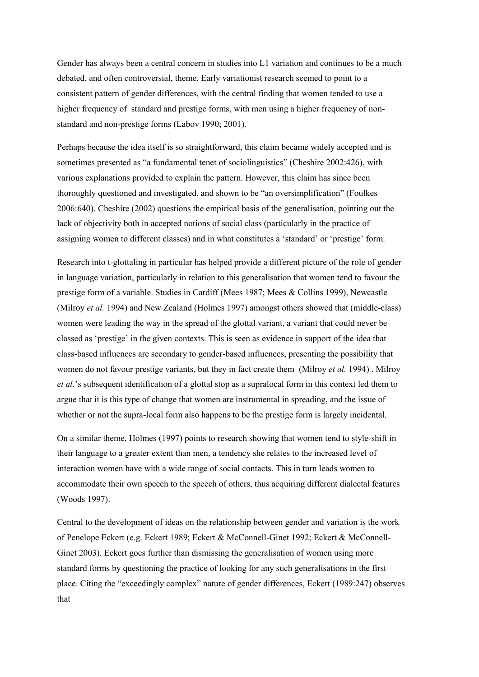Gender has always been a central concern in studies into L1 variation and continues to be a much debated, and often controversial, theme. Early variationist research seemed to point to a consistent pattern of gender differences, with the central finding that women tended to use a higher frequency of standard and prestige forms, with men using a higher frequency of nonstandard and non-prestige forms (Labov 1990; 2001).

Perhaps because the idea itself is so straightforward, this claim became widely accepted and is sometimes presented as "a fundamental tenet of sociolinguistics" (Cheshire 2002:426), with various explanations provided to explain the pattern. However, this claim has since been thoroughly questioned and investigated, and shown to be "an oversimplification" (Foulkes 2006:640). Cheshire (2002) questions the empirical basis of the generalisation, pointing out the lack of objectivity both in accepted notions of social class (particularly in the practice of assigning women to different classes) and in what constitutes a 'standard' or 'prestige' form.

Research into t-glottaling in particular has helped provide a different picture of the role of gender in language variation, particularly in relation to this generalisation that women tend to favour the prestige form of a variable. Studies in Cardiff (Mees 1987; Mees & Collins 1999), Newcastle (Milroy *et al.* 1994) and New Zealand (Holmes 1997) amongst others showed that (middle-class) women were leading the way in the spread of the glottal variant, a variant that could never be classed as 'prestige' in the given contexts. This is seen as evidence in support of the idea that class-based influences are secondary to gender-based influences, presenting the possibility that women do not favour prestige variants, but they in fact create them (Milroy *et al.* 1994) . Milroy *et al.*'s subsequent identification of a glottal stop as a supralocal form in this context led them to argue that it is this type of change that women are instrumental in spreading, and the issue of whether or not the supra-local form also happens to be the prestige form is largely incidental.

On a similar theme, Holmes (1997) points to research showing that women tend to style-shift in their language to a greater extent than men, a tendency she relates to the increased level of interaction women have with a wide range of social contacts. This in turn leads women to accommodate their own speech to the speech of others, thus acquiring different dialectal features (Woods 1997).

Central to the development of ideas on the relationship between gender and variation is the work of Penelope Eckert (e.g. Eckert 1989; Eckert & McConnell-Ginet 1992; Eckert & McConnell-Ginet 2003). Eckert goes further than dismissing the generalisation of women using more standard forms by questioning the practice of looking for any such generalisations in the first place. Citing the "exceedingly complex" nature of gender differences, Eckert (1989:247) observes that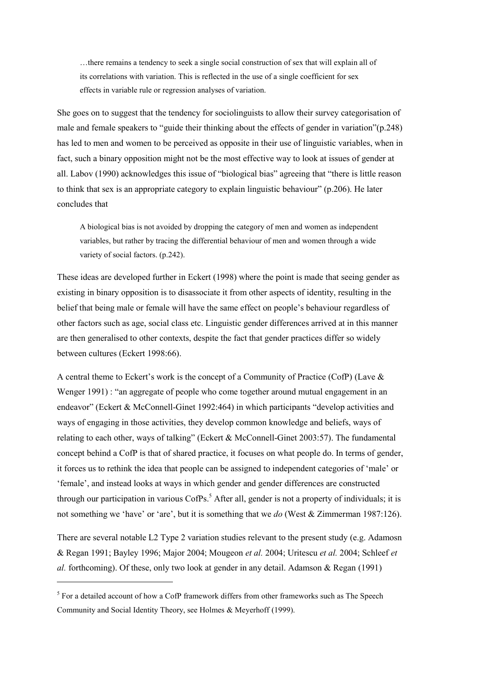…there remains a tendency to seek a single social construction of sex that will explain all of its correlations with variation. This is reflected in the use of a single coefficient for sex effects in variable rule or regression analyses of variation.

She goes on to suggest that the tendency for sociolinguists to allow their survey categorisation of male and female speakers to "guide their thinking about the effects of gender in variation"(p.248) has led to men and women to be perceived as opposite in their use of linguistic variables, when in fact, such a binary opposition might not be the most effective way to look at issues of gender at all. Labov (1990) acknowledges this issue of "biological bias" agreeing that "there is little reason to think that sex is an appropriate category to explain linguistic behaviour" (p.206). He later concludes that

A biological bias is not avoided by dropping the category of men and women as independent variables, but rather by tracing the differential behaviour of men and women through a wide variety of social factors. (p.242).

These ideas are developed further in Eckert (1998) where the point is made that seeing gender as existing in binary opposition is to disassociate it from other aspects of identity, resulting in the belief that being male or female will have the same effect on people's behaviour regardless of other factors such as age, social class etc. Linguistic gender differences arrived at in this manner are then generalised to other contexts, despite the fact that gender practices differ so widely between cultures (Eckert 1998:66).

A central theme to Eckert's work is the concept of a Community of Practice (CofP) (Lave & Wenger 1991) : "an aggregate of people who come together around mutual engagement in an endeavor" (Eckert & McConnell-Ginet 1992:464) in which participants "develop activities and ways of engaging in those activities, they develop common knowledge and beliefs, ways of relating to each other, ways of talking" (Eckert & McConnell-Ginet 2003:57). The fundamental concept behind a CofP is that of shared practice, it focuses on what people do. In terms of gender, it forces us to rethink the idea that people can be assigned to independent categories of 'male' or 'female', and instead looks at ways in which gender and gender differences are constructed through our participation in various CofPs.<sup>5</sup> After all, gender is not a property of individuals; it is not something we 'have' or 'are', but it is something that we *do* (West & Zimmerman 1987:126).

There are several notable L2 Type 2 variation studies relevant to the present study (e.g. Adamosn & Regan 1991; Bayley 1996; Major 2004; Mougeon *et al.* 2004; Uritescu *et al.* 2004; Schleef *et al.* forthcoming). Of these, only two look at gender in any detail. Adamson & Regan (1991)

l

 $<sup>5</sup>$  For a detailed account of how a CofP framework differs from other frameworks such as The Speech</sup> Community and Social Identity Theory, see Holmes & Meyerhoff (1999).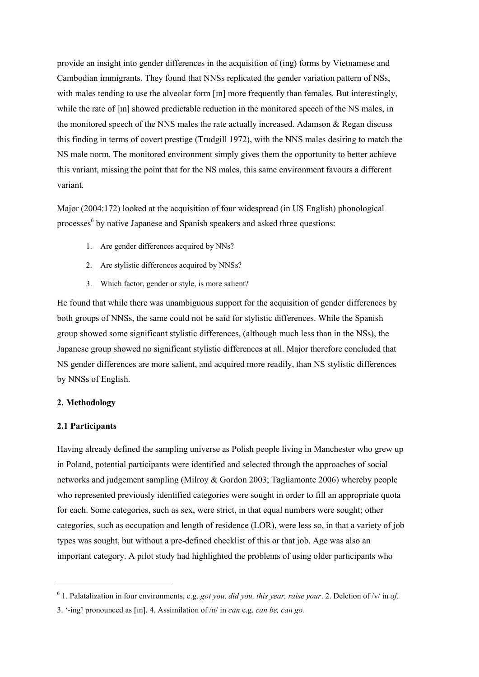provide an insight into gender differences in the acquisition of (ing) forms by Vietnamese and Cambodian immigrants. They found that NNSs replicated the gender variation pattern of NSs, with males tending to use the alveolar form [m] more frequently than females. But interestingly, while the rate of [m] showed predictable reduction in the monitored speech of the NS males, in the monitored speech of the NNS males the rate actually increased. Adamson & Regan discuss this finding in terms of covert prestige (Trudgill 1972), with the NNS males desiring to match the NS male norm. The monitored environment simply gives them the opportunity to better achieve this variant, missing the point that for the NS males, this same environment favours a different variant.

Major (2004:172) looked at the acquisition of four widespread (in US English) phonological processes<sup>6</sup> by native Japanese and Spanish speakers and asked three questions:

- 1. Are gender differences acquired by NNs?
- 2. Are stylistic differences acquired by NNSs?
- 3. Which factor, gender or style, is more salient?

He found that while there was unambiguous support for the acquisition of gender differences by both groups of NNSs, the same could not be said for stylistic differences. While the Spanish group showed some significant stylistic differences, (although much less than in the NSs), the Japanese group showed no significant stylistic differences at all. Major therefore concluded that NS gender differences are more salient, and acquired more readily, than NS stylistic differences by NNSs of English.

### **2. Methodology**

## **2.1 Participants**

l

Having already defined the sampling universe as Polish people living in Manchester who grew up in Poland, potential participants were identified and selected through the approaches of social networks and judgement sampling (Milroy & Gordon 2003; Tagliamonte 2006) whereby people who represented previously identified categories were sought in order to fill an appropriate quota for each. Some categories, such as sex, were strict, in that equal numbers were sought; other categories, such as occupation and length of residence (LOR), were less so, in that a variety of job types was sought, but without a pre-defined checklist of this or that job. Age was also an important category. A pilot study had highlighted the problems of using older participants who

<sup>6</sup> 1. Palatalization in four environments, e.g. *got you, did you, this year, raise your*. 2. Deletion of /v/ in *of*.

<sup>3. &#</sup>x27;-ing' pronounced as [ɪn]. 4. Assimilation of /n/ in *can* e.g. *can be, can go.*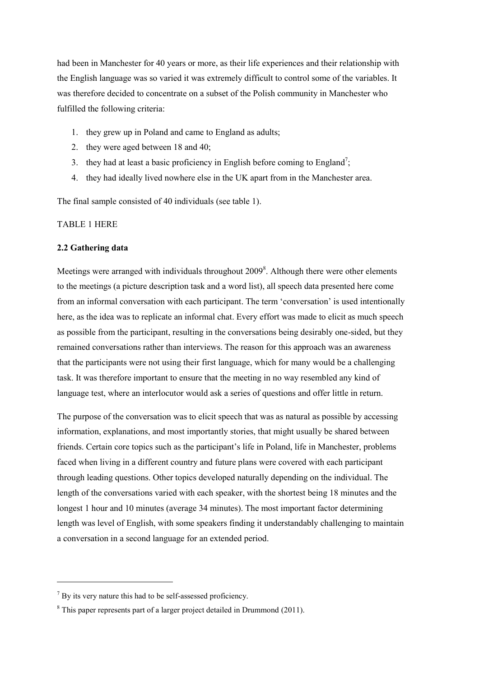had been in Manchester for 40 years or more, as their life experiences and their relationship with the English language was so varied it was extremely difficult to control some of the variables. It was therefore decided to concentrate on a subset of the Polish community in Manchester who fulfilled the following criteria:

- 1. they grew up in Poland and came to England as adults;
- 2. they were aged between 18 and 40;
- 3. they had at least a basic proficiency in English before coming to England<sup>7</sup>;
- 4. they had ideally lived nowhere else in the UK apart from in the Manchester area.

The final sample consisted of 40 individuals (see table 1).

## TABLE 1 HERE

### **2.2 Gathering data**

Meetings were arranged with individuals throughout 2009<sup>8</sup>. Although there were other elements to the meetings (a picture description task and a word list), all speech data presented here come from an informal conversation with each participant. The term 'conversation' is used intentionally here, as the idea was to replicate an informal chat. Every effort was made to elicit as much speech as possible from the participant, resulting in the conversations being desirably one-sided, but they remained conversations rather than interviews. The reason for this approach was an awareness that the participants were not using their first language, which for many would be a challenging task. It was therefore important to ensure that the meeting in no way resembled any kind of language test, where an interlocutor would ask a series of questions and offer little in return.

The purpose of the conversation was to elicit speech that was as natural as possible by accessing information, explanations, and most importantly stories, that might usually be shared between friends. Certain core topics such as the participant's life in Poland, life in Manchester, problems faced when living in a different country and future plans were covered with each participant through leading questions. Other topics developed naturally depending on the individual. The length of the conversations varied with each speaker, with the shortest being 18 minutes and the longest 1 hour and 10 minutes (average 34 minutes). The most important factor determining length was level of English, with some speakers finding it understandably challenging to maintain a conversation in a second language for an extended period.

l

 $<sup>7</sup>$  By its very nature this had to be self-assessed proficiency.</sup>

<sup>&</sup>lt;sup>8</sup> This paper represents part of a larger project detailed in Drummond (2011).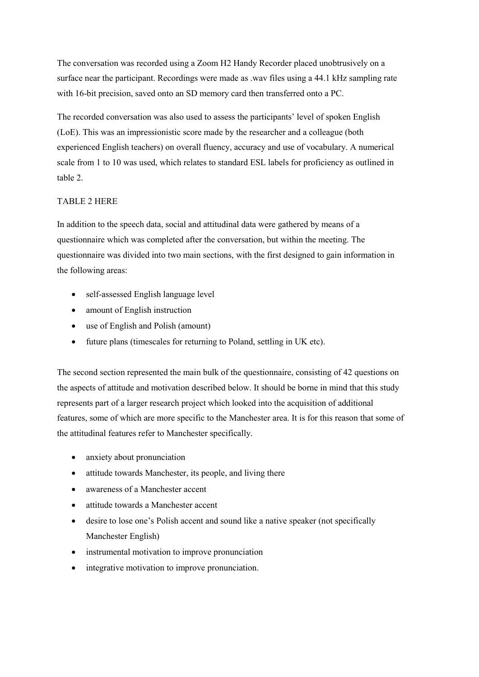The conversation was recorded using a Zoom H2 Handy Recorder placed unobtrusively on a surface near the participant. Recordings were made as .wav files using a 44.1 kHz sampling rate with 16-bit precision, saved onto an SD memory card then transferred onto a PC.

The recorded conversation was also used to assess the participants' level of spoken English (LoE). This was an impressionistic score made by the researcher and a colleague (both experienced English teachers) on overall fluency, accuracy and use of vocabulary. A numerical scale from 1 to 10 was used, which relates to standard ESL labels for proficiency as outlined in table 2.

## TABLE 2 HERE

In addition to the speech data, social and attitudinal data were gathered by means of a questionnaire which was completed after the conversation, but within the meeting. The questionnaire was divided into two main sections, with the first designed to gain information in the following areas:

- self-assessed English language level
- amount of English instruction
- use of English and Polish (amount)
- future plans (timescales for returning to Poland, settling in UK etc).

The second section represented the main bulk of the questionnaire, consisting of 42 questions on the aspects of attitude and motivation described below. It should be borne in mind that this study represents part of a larger research project which looked into the acquisition of additional features, some of which are more specific to the Manchester area. It is for this reason that some of the attitudinal features refer to Manchester specifically.

- anxiety about pronunciation
- attitude towards Manchester, its people, and living there
- awareness of a Manchester accent
- attitude towards a Manchester accent
- desire to lose one's Polish accent and sound like a native speaker (not specifically Manchester English)
- instrumental motivation to improve pronunciation
- integrative motivation to improve pronunciation.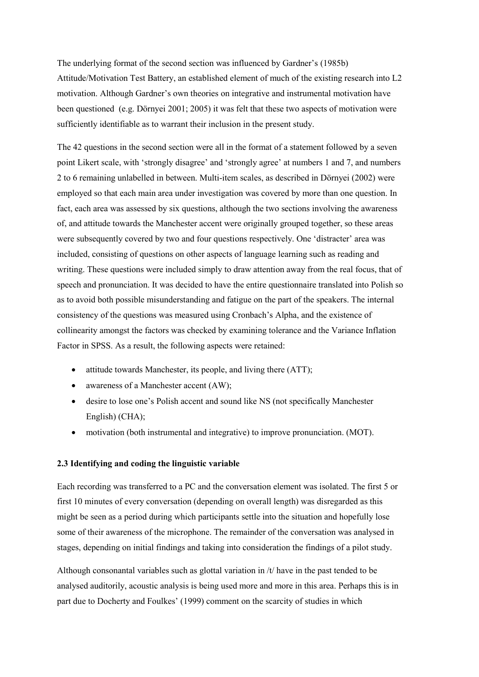The underlying format of the second section was influenced by Gardner's (1985b) Attitude/Motivation Test Battery, an established element of much of the existing research into L2 motivation. Although Gardner's own theories on integrative and instrumental motivation have been questioned (e.g. Dörnyei 2001; 2005) it was felt that these two aspects of motivation were sufficiently identifiable as to warrant their inclusion in the present study.

The 42 questions in the second section were all in the format of a statement followed by a seven point Likert scale, with 'strongly disagree' and 'strongly agree' at numbers 1 and 7, and numbers 2 to 6 remaining unlabelled in between. Multi-item scales, as described in Dörnyei (2002) were employed so that each main area under investigation was covered by more than one question. In fact, each area was assessed by six questions, although the two sections involving the awareness of, and attitude towards the Manchester accent were originally grouped together, so these areas were subsequently covered by two and four questions respectively. One 'distracter' area was included, consisting of questions on other aspects of language learning such as reading and writing. These questions were included simply to draw attention away from the real focus, that of speech and pronunciation. It was decided to have the entire questionnaire translated into Polish so as to avoid both possible misunderstanding and fatigue on the part of the speakers. The internal consistency of the questions was measured using Cronbach's Alpha, and the existence of collinearity amongst the factors was checked by examining tolerance and the Variance Inflation Factor in SPSS. As a result, the following aspects were retained:

- attitude towards Manchester, its people, and living there (ATT);
- awareness of a Manchester accent (AW);
- desire to lose one's Polish accent and sound like NS (not specifically Manchester English) (CHA);
- motivation (both instrumental and integrative) to improve pronunciation. (MOT).

## **2.3 Identifying and coding the linguistic variable**

Each recording was transferred to a PC and the conversation element was isolated. The first 5 or first 10 minutes of every conversation (depending on overall length) was disregarded as this might be seen as a period during which participants settle into the situation and hopefully lose some of their awareness of the microphone. The remainder of the conversation was analysed in stages, depending on initial findings and taking into consideration the findings of a pilot study.

Although consonantal variables such as glottal variation in  $/t$  have in the past tended to be analysed auditorily, acoustic analysis is being used more and more in this area. Perhaps this is in part due to Docherty and Foulkes' (1999) comment on the scarcity of studies in which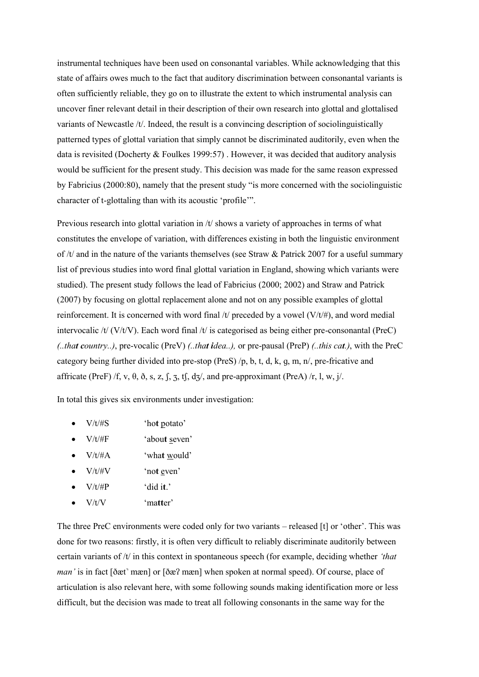instrumental techniques have been used on consonantal variables. While acknowledging that this state of affairs owes much to the fact that auditory discrimination between consonantal variants is often sufficiently reliable, they go on to illustrate the extent to which instrumental analysis can uncover finer relevant detail in their description of their own research into glottal and glottalised variants of Newcastle /t/. Indeed, the result is a convincing description of sociolinguistically patterned types of glottal variation that simply cannot be discriminated auditorily, even when the data is revisited (Docherty & Foulkes 1999:57) . However, it was decided that auditory analysis would be sufficient for the present study. This decision was made for the same reason expressed by Fabricius (2000:80), namely that the present study "is more concerned with the sociolinguistic character of t-glottaling than with its acoustic 'profile'".

Previous research into glottal variation in /t/ shows a variety of approaches in terms of what constitutes the envelope of variation, with differences existing in both the linguistic environment of /t/ and in the nature of the variants themselves (see Straw & Patrick 2007 for a useful summary list of previous studies into word final glottal variation in England, showing which variants were studied). The present study follows the lead of Fabricius (2000; 2002) and Straw and Patrick (2007) by focusing on glottal replacement alone and not on any possible examples of glottal reinforcement. It is concerned with word final  $/t$  preceded by a vowel  $(V/t#)$ , and word medial intervocalic /t/  $(V/t/V)$ . Each word final /t/ is categorised as being either pre-consonantal (PreC) *(..that country..)*, pre-vocalic (PreV) *(..that idea..),* or pre-pausal (PreP) *(..this cat.)*, with the PreC category being further divided into pre-stop (PreS)  $/p$ , b, t, d, k, q, m, n', pre-fricative and affricate (PreF) /f, v,  $\theta$ ,  $\delta$ , s, z, f, z, tf, dz/, and pre-approximant (PreA) /r, l, w, j/.

In total this gives six environments under investigation:

- V/t/#S 'ho**t** potato'
- V/t/#F 'abou**t** seven'
- V/t/#A 'wha**t** would'
- V/t/#V 'no**t** even'
- V/t/#P 'did i**t**.'
- V/t/V 'ma**tt**er'

The three PreC environments were coded only for two variants – released [t] or 'other'. This was done for two reasons: firstly, it is often very difficult to reliably discriminate auditorily between certain variants of /t/ in this context in spontaneous speech (for example, deciding whether *'that man'* is in fact [ðæt' mæn] or [ðæ? mæn] when spoken at normal speed). Of course, place of articulation is also relevant here, with some following sounds making identification more or less difficult, but the decision was made to treat all following consonants in the same way for the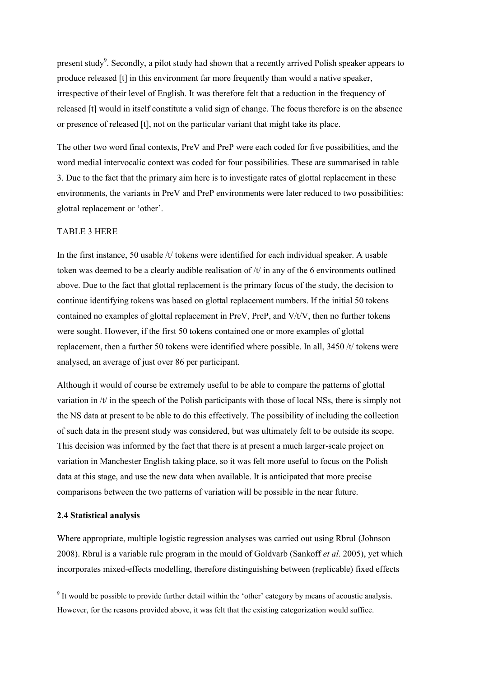present study<sup>9</sup>. Secondly, a pilot study had shown that a recently arrived Polish speaker appears to produce released [t] in this environment far more frequently than would a native speaker, irrespective of their level of English. It was therefore felt that a reduction in the frequency of released [t] would in itself constitute a valid sign of change. The focus therefore is on the absence or presence of released [t], not on the particular variant that might take its place.

The other two word final contexts, PreV and PreP were each coded for five possibilities, and the word medial intervocalic context was coded for four possibilities. These are summarised in table 3. Due to the fact that the primary aim here is to investigate rates of glottal replacement in these environments, the variants in PreV and PreP environments were later reduced to two possibilities: glottal replacement or 'other'.

#### TABLE 3 HERE

In the first instance, 50 usable /t/ tokens were identified for each individual speaker. A usable token was deemed to be a clearly audible realisation of  $/t/$  in any of the 6 environments outlined above. Due to the fact that glottal replacement is the primary focus of the study, the decision to continue identifying tokens was based on glottal replacement numbers. If the initial 50 tokens contained no examples of glottal replacement in PreV, PreP, and V/t/V, then no further tokens were sought. However, if the first 50 tokens contained one or more examples of glottal replacement, then a further 50 tokens were identified where possible. In all, 3450 /t/ tokens were analysed, an average of just over 86 per participant.

Although it would of course be extremely useful to be able to compare the patterns of glottal variation in /t/ in the speech of the Polish participants with those of local NSs, there is simply not the NS data at present to be able to do this effectively. The possibility of including the collection of such data in the present study was considered, but was ultimately felt to be outside its scope. This decision was informed by the fact that there is at present a much larger-scale project on variation in Manchester English taking place, so it was felt more useful to focus on the Polish data at this stage, and use the new data when available. It is anticipated that more precise comparisons between the two patterns of variation will be possible in the near future.

#### **2.4 Statistical analysis**

l

Where appropriate, multiple logistic regression analyses was carried out using Rbrul (Johnson 2008). Rbrul is a variable rule program in the mould of Goldvarb (Sankoff *et al.* 2005), yet which incorporates mixed-effects modelling, therefore distinguishing between (replicable) fixed effects

<sup>&</sup>lt;sup>9</sup> It would be possible to provide further detail within the 'other' category by means of acoustic analysis. However, for the reasons provided above, it was felt that the existing categorization would suffice.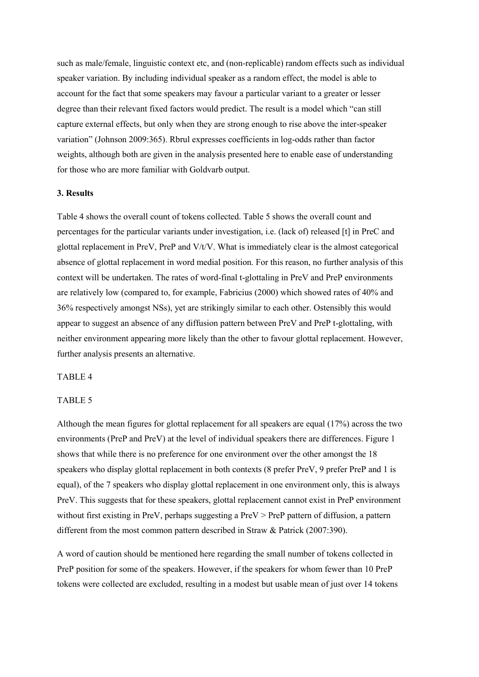such as male/female, linguistic context etc, and (non-replicable) random effects such as individual speaker variation. By including individual speaker as a random effect, the model is able to account for the fact that some speakers may favour a particular variant to a greater or lesser degree than their relevant fixed factors would predict. The result is a model which "can still capture external effects, but only when they are strong enough to rise above the inter-speaker variation" (Johnson 2009:365). Rbrul expresses coefficients in log-odds rather than factor weights, although both are given in the analysis presented here to enable ease of understanding for those who are more familiar with Goldvarb output.

### **3. Results**

Table 4 shows the overall count of tokens collected. Table 5 shows the overall count and percentages for the particular variants under investigation, i.e. (lack of) released [t] in PreC and glottal replacement in PreV, PreP and V/t/V. What is immediately clear is the almost categorical absence of glottal replacement in word medial position. For this reason, no further analysis of this context will be undertaken. The rates of word-final t-glottaling in PreV and PreP environments are relatively low (compared to, for example, Fabricius (2000) which showed rates of 40% and 36% respectively amongst NSs), yet are strikingly similar to each other. Ostensibly this would appear to suggest an absence of any diffusion pattern between PreV and PreP t-glottaling, with neither environment appearing more likely than the other to favour glottal replacement. However, further analysis presents an alternative.

## TABLE 4

#### TABLE 5

Although the mean figures for glottal replacement for all speakers are equal (17%) across the two environments (PreP and PreV) at the level of individual speakers there are differences. Figure 1 shows that while there is no preference for one environment over the other amongst the 18 speakers who display glottal replacement in both contexts (8 prefer PreV, 9 prefer PreP and 1 is equal), of the 7 speakers who display glottal replacement in one environment only, this is always PreV. This suggests that for these speakers, glottal replacement cannot exist in PreP environment without first existing in PreV, perhaps suggesting a PreV > PreP pattern of diffusion, a pattern different from the most common pattern described in Straw & Patrick (2007:390).

A word of caution should be mentioned here regarding the small number of tokens collected in PreP position for some of the speakers. However, if the speakers for whom fewer than 10 PreP tokens were collected are excluded, resulting in a modest but usable mean of just over 14 tokens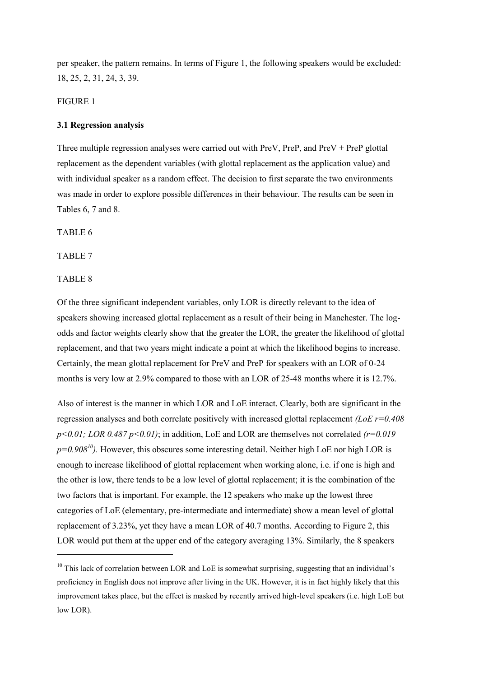per speaker, the pattern remains. In terms of Figure 1, the following speakers would be excluded: 18, 25, 2, 31, 24, 3, 39.

### FIGURE 1

#### **3.1 Regression analysis**

Three multiple regression analyses were carried out with PreV, PreP, and PreV + PreP glottal replacement as the dependent variables (with glottal replacement as the application value) and with individual speaker as a random effect. The decision to first separate the two environments was made in order to explore possible differences in their behaviour. The results can be seen in Tables 6, 7 and 8.

TABLE 6

TABLE 7

#### TABLE 8

l

Of the three significant independent variables, only LOR is directly relevant to the idea of speakers showing increased glottal replacement as a result of their being in Manchester. The logodds and factor weights clearly show that the greater the LOR, the greater the likelihood of glottal replacement, and that two years might indicate a point at which the likelihood begins to increase. Certainly, the mean glottal replacement for PreV and PreP for speakers with an LOR of 0-24 months is very low at 2.9% compared to those with an LOR of 25-48 months where it is 12.7%.

Also of interest is the manner in which LOR and LoE interact. Clearly, both are significant in the regression analyses and both correlate positively with increased glottal replacement *(LoE r=0.408 p<0.01; LOR 0.487 p<0.01)*; in addition, LoE and LOR are themselves not correlated *(r=0.019*   $p=0.908^{10}$ ). However, this obscures some interesting detail. Neither high LoE nor high LOR is enough to increase likelihood of glottal replacement when working alone, i.e. if one is high and the other is low, there tends to be a low level of glottal replacement; it is the combination of the two factors that is important. For example, the 12 speakers who make up the lowest three categories of LoE (elementary, pre-intermediate and intermediate) show a mean level of glottal replacement of 3.23%, yet they have a mean LOR of 40.7 months. According to Figure 2, this LOR would put them at the upper end of the category averaging 13%. Similarly, the 8 speakers

 $10$  This lack of correlation between LOR and LoE is somewhat surprising, suggesting that an individual's proficiency in English does not improve after living in the UK. However, it is in fact highly likely that this improvement takes place, but the effect is masked by recently arrived high-level speakers (i.e. high LoE but low LOR).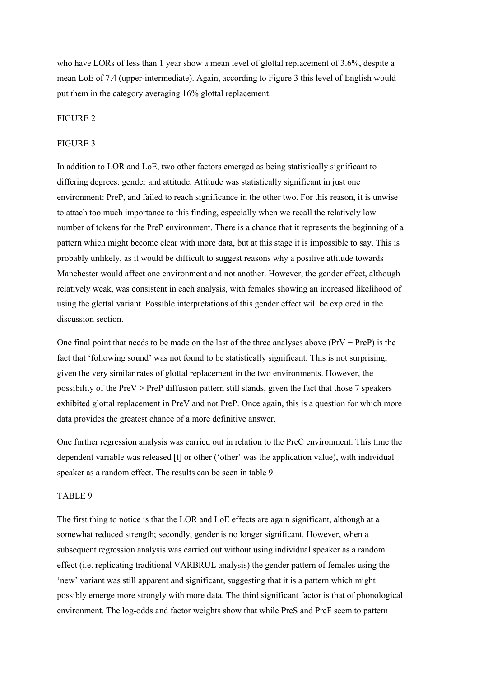who have LORs of less than 1 year show a mean level of glottal replacement of 3.6%, despite a mean LoE of 7.4 (upper-intermediate). Again, according to Figure 3 this level of English would put them in the category averaging 16% glottal replacement.

# FIGURE 2

#### FIGURE 3

In addition to LOR and LoE, two other factors emerged as being statistically significant to differing degrees: gender and attitude. Attitude was statistically significant in just one environment: PreP, and failed to reach significance in the other two. For this reason, it is unwise to attach too much importance to this finding, especially when we recall the relatively low number of tokens for the PreP environment. There is a chance that it represents the beginning of a pattern which might become clear with more data, but at this stage it is impossible to say. This is probably unlikely, as it would be difficult to suggest reasons why a positive attitude towards Manchester would affect one environment and not another. However, the gender effect, although relatively weak, was consistent in each analysis, with females showing an increased likelihood of using the glottal variant. Possible interpretations of this gender effect will be explored in the discussion section.

One final point that needs to be made on the last of the three analyses above  $(\text{PrV} + \text{PreP})$  is the fact that 'following sound' was not found to be statistically significant. This is not surprising, given the very similar rates of glottal replacement in the two environments. However, the possibility of the PreV > PreP diffusion pattern still stands, given the fact that those 7 speakers exhibited glottal replacement in PreV and not PreP. Once again, this is a question for which more data provides the greatest chance of a more definitive answer.

One further regression analysis was carried out in relation to the PreC environment. This time the dependent variable was released [t] or other ('other' was the application value), with individual speaker as a random effect. The results can be seen in table 9.

#### TABLE 9

The first thing to notice is that the LOR and LoE effects are again significant, although at a somewhat reduced strength; secondly, gender is no longer significant. However, when a subsequent regression analysis was carried out without using individual speaker as a random effect (i.e. replicating traditional VARBRUL analysis) the gender pattern of females using the 'new' variant was still apparent and significant, suggesting that it is a pattern which might possibly emerge more strongly with more data. The third significant factor is that of phonological environment. The log-odds and factor weights show that while PreS and PreF seem to pattern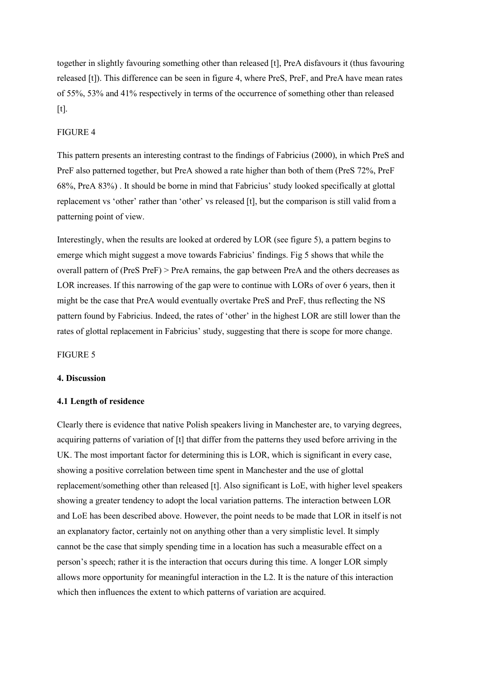together in slightly favouring something other than released [t], PreA disfavours it (thus favouring released [t]). This difference can be seen in figure 4, where PreS, PreF, and PreA have mean rates of 55%, 53% and 41% respectively in terms of the occurrence of something other than released  $\lceil \mathbf{t} \rceil$ .

#### FIGURE 4

This pattern presents an interesting contrast to the findings of Fabricius (2000), in which PreS and PreF also patterned together, but PreA showed a rate higher than both of them (PreS 72%, PreF 68%, PreA 83%) . It should be borne in mind that Fabricius' study looked specifically at glottal replacement vs 'other' rather than 'other' vs released [t], but the comparison is still valid from a patterning point of view.

Interestingly, when the results are looked at ordered by LOR (see figure 5), a pattern begins to emerge which might suggest a move towards Fabricius' findings. Fig 5 shows that while the overall pattern of (PreS PreF) > PreA remains, the gap between PreA and the others decreases as LOR increases. If this narrowing of the gap were to continue with LORs of over 6 years, then it might be the case that PreA would eventually overtake PreS and PreF, thus reflecting the NS pattern found by Fabricius. Indeed, the rates of 'other' in the highest LOR are still lower than the rates of glottal replacement in Fabricius' study, suggesting that there is scope for more change.

#### FIGURE 5

#### **4. Discussion**

#### **4.1 Length of residence**

Clearly there is evidence that native Polish speakers living in Manchester are, to varying degrees, acquiring patterns of variation of [t] that differ from the patterns they used before arriving in the UK. The most important factor for determining this is LOR, which is significant in every case, showing a positive correlation between time spent in Manchester and the use of glottal replacement/something other than released [t]. Also significant is LoE, with higher level speakers showing a greater tendency to adopt the local variation patterns. The interaction between LOR and LoE has been described above. However, the point needs to be made that LOR in itself is not an explanatory factor, certainly not on anything other than a very simplistic level. It simply cannot be the case that simply spending time in a location has such a measurable effect on a person's speech; rather it is the interaction that occurs during this time. A longer LOR simply allows more opportunity for meaningful interaction in the L2. It is the nature of this interaction which then influences the extent to which patterns of variation are acquired.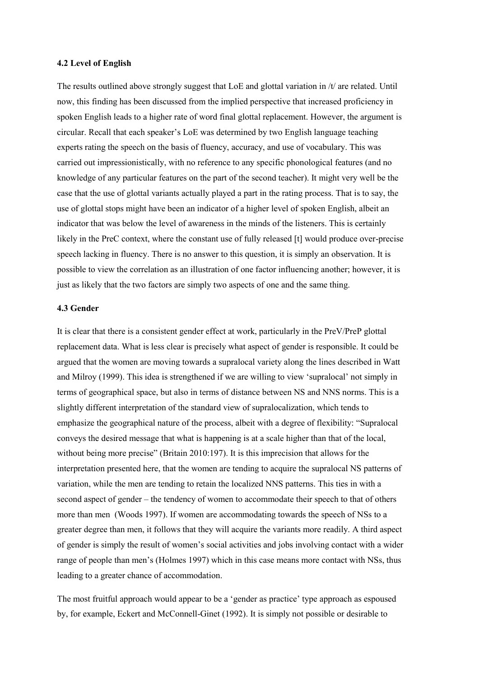#### **4.2 Level of English**

The results outlined above strongly suggest that LoE and glottal variation in /t/ are related. Until now, this finding has been discussed from the implied perspective that increased proficiency in spoken English leads to a higher rate of word final glottal replacement. However, the argument is circular. Recall that each speaker's LoE was determined by two English language teaching experts rating the speech on the basis of fluency, accuracy, and use of vocabulary. This was carried out impressionistically, with no reference to any specific phonological features (and no knowledge of any particular features on the part of the second teacher). It might very well be the case that the use of glottal variants actually played a part in the rating process. That is to say, the use of glottal stops might have been an indicator of a higher level of spoken English, albeit an indicator that was below the level of awareness in the minds of the listeners. This is certainly likely in the PreC context, where the constant use of fully released [t] would produce over-precise speech lacking in fluency. There is no answer to this question, it is simply an observation. It is possible to view the correlation as an illustration of one factor influencing another; however, it is just as likely that the two factors are simply two aspects of one and the same thing.

### **4.3 Gender**

It is clear that there is a consistent gender effect at work, particularly in the PreV/PreP glottal replacement data. What is less clear is precisely what aspect of gender is responsible. It could be argued that the women are moving towards a supralocal variety along the lines described in Watt and Milroy (1999). This idea is strengthened if we are willing to view 'supralocal' not simply in terms of geographical space, but also in terms of distance between NS and NNS norms. This is a slightly different interpretation of the standard view of supralocalization, which tends to emphasize the geographical nature of the process, albeit with a degree of flexibility: "Supralocal conveys the desired message that what is happening is at a scale higher than that of the local, without being more precise" (Britain 2010:197). It is this imprecision that allows for the interpretation presented here, that the women are tending to acquire the supralocal NS patterns of variation, while the men are tending to retain the localized NNS patterns. This ties in with a second aspect of gender – the tendency of women to accommodate their speech to that of others more than men (Woods 1997). If women are accommodating towards the speech of NSs to a greater degree than men, it follows that they will acquire the variants more readily. A third aspect of gender is simply the result of women's social activities and jobs involving contact with a wider range of people than men's (Holmes 1997) which in this case means more contact with NSs, thus leading to a greater chance of accommodation.

The most fruitful approach would appear to be a 'gender as practice' type approach as espoused by, for example, Eckert and McConnell-Ginet (1992). It is simply not possible or desirable to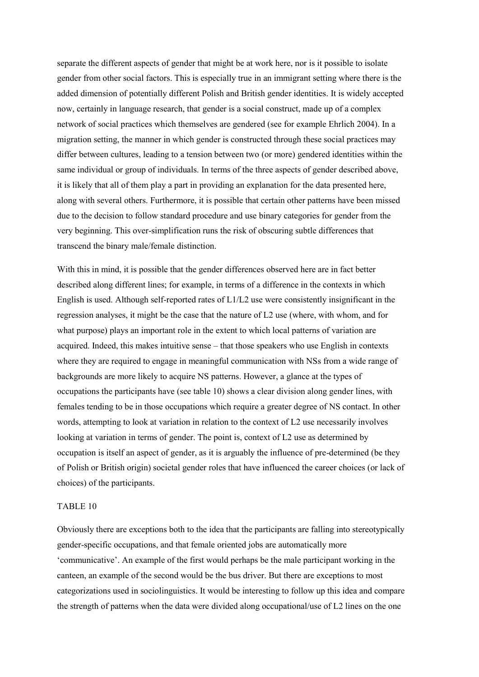separate the different aspects of gender that might be at work here, nor is it possible to isolate gender from other social factors. This is especially true in an immigrant setting where there is the added dimension of potentially different Polish and British gender identities. It is widely accepted now, certainly in language research, that gender is a social construct, made up of a complex network of social practices which themselves are gendered (see for example Ehrlich 2004). In a migration setting, the manner in which gender is constructed through these social practices may differ between cultures, leading to a tension between two (or more) gendered identities within the same individual or group of individuals. In terms of the three aspects of gender described above, it is likely that all of them play a part in providing an explanation for the data presented here, along with several others. Furthermore, it is possible that certain other patterns have been missed due to the decision to follow standard procedure and use binary categories for gender from the very beginning. This over-simplification runs the risk of obscuring subtle differences that transcend the binary male/female distinction.

With this in mind, it is possible that the gender differences observed here are in fact better described along different lines; for example, in terms of a difference in the contexts in which English is used. Although self-reported rates of L1/L2 use were consistently insignificant in the regression analyses, it might be the case that the nature of L2 use (where, with whom, and for what purpose) plays an important role in the extent to which local patterns of variation are acquired. Indeed, this makes intuitive sense – that those speakers who use English in contexts where they are required to engage in meaningful communication with NSs from a wide range of backgrounds are more likely to acquire NS patterns. However, a glance at the types of occupations the participants have (see table 10) shows a clear division along gender lines, with females tending to be in those occupations which require a greater degree of NS contact. In other words, attempting to look at variation in relation to the context of L2 use necessarily involves looking at variation in terms of gender. The point is, context of L2 use as determined by occupation is itself an aspect of gender, as it is arguably the influence of pre-determined (be they of Polish or British origin) societal gender roles that have influenced the career choices (or lack of choices) of the participants.

#### TABLE 10

Obviously there are exceptions both to the idea that the participants are falling into stereotypically gender-specific occupations, and that female oriented jobs are automatically more 'communicative'. An example of the first would perhaps be the male participant working in the canteen, an example of the second would be the bus driver. But there are exceptions to most categorizations used in sociolinguistics. It would be interesting to follow up this idea and compare the strength of patterns when the data were divided along occupational/use of L2 lines on the one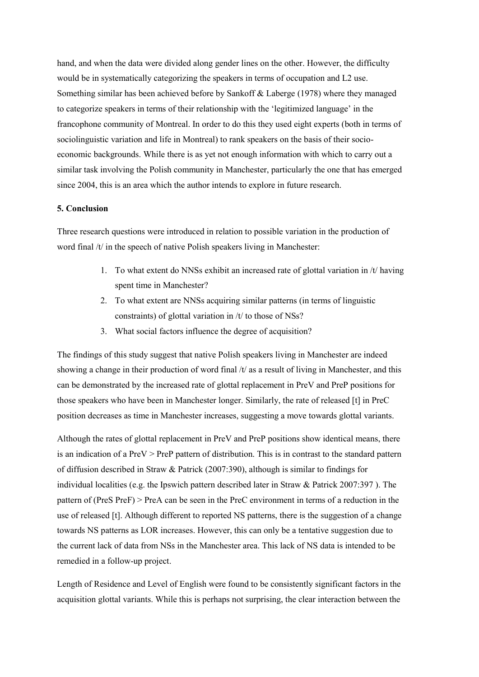hand, and when the data were divided along gender lines on the other. However, the difficulty would be in systematically categorizing the speakers in terms of occupation and L2 use. Something similar has been achieved before by Sankoff & Laberge (1978) where they managed to categorize speakers in terms of their relationship with the 'legitimized language' in the francophone community of Montreal. In order to do this they used eight experts (both in terms of sociolinguistic variation and life in Montreal) to rank speakers on the basis of their socioeconomic backgrounds. While there is as yet not enough information with which to carry out a similar task involving the Polish community in Manchester, particularly the one that has emerged since 2004, this is an area which the author intends to explore in future research.

### **5. Conclusion**

Three research questions were introduced in relation to possible variation in the production of word final /t/ in the speech of native Polish speakers living in Manchester:

- 1. To what extent do NNSs exhibit an increased rate of glottal variation in  $/t$  having spent time in Manchester?
- 2. To what extent are NNSs acquiring similar patterns (in terms of linguistic constraints) of glottal variation in /t/ to those of NSs?
- 3. What social factors influence the degree of acquisition?

The findings of this study suggest that native Polish speakers living in Manchester are indeed showing a change in their production of word final /t/ as a result of living in Manchester, and this can be demonstrated by the increased rate of glottal replacement in PreV and PreP positions for those speakers who have been in Manchester longer. Similarly, the rate of released [t] in PreC position decreases as time in Manchester increases, suggesting a move towards glottal variants.

Although the rates of glottal replacement in PreV and PreP positions show identical means, there is an indication of a PreV > PreP pattern of distribution. This is in contrast to the standard pattern of diffusion described in Straw & Patrick (2007:390), although is similar to findings for individual localities (e.g. the Ipswich pattern described later in Straw & Patrick 2007:397 ). The pattern of (PreS PreF) > PreA can be seen in the PreC environment in terms of a reduction in the use of released [t]. Although different to reported NS patterns, there is the suggestion of a change towards NS patterns as LOR increases. However, this can only be a tentative suggestion due to the current lack of data from NSs in the Manchester area. This lack of NS data is intended to be remedied in a follow-up project.

Length of Residence and Level of English were found to be consistently significant factors in the acquisition glottal variants. While this is perhaps not surprising, the clear interaction between the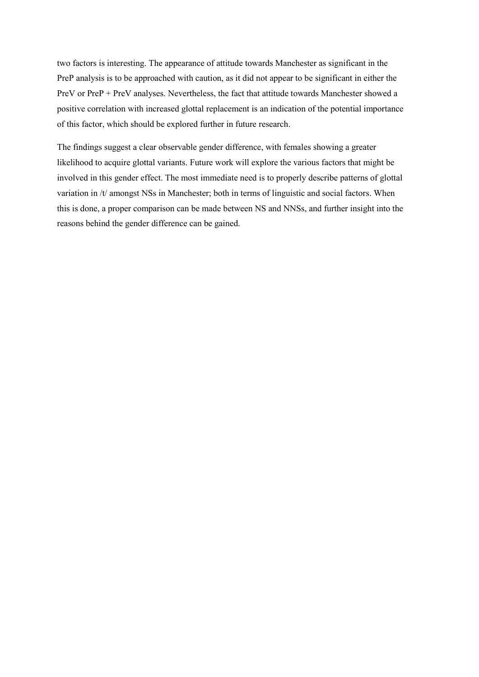two factors is interesting. The appearance of attitude towards Manchester as significant in the PreP analysis is to be approached with caution, as it did not appear to be significant in either the PreV or PreP + PreV analyses. Nevertheless, the fact that attitude towards Manchester showed a positive correlation with increased glottal replacement is an indication of the potential importance of this factor, which should be explored further in future research.

The findings suggest a clear observable gender difference, with females showing a greater likelihood to acquire glottal variants. Future work will explore the various factors that might be involved in this gender effect. The most immediate need is to properly describe patterns of glottal variation in /t/ amongst NSs in Manchester; both in terms of linguistic and social factors. When this is done, a proper comparison can be made between NS and NNSs, and further insight into the reasons behind the gender difference can be gained.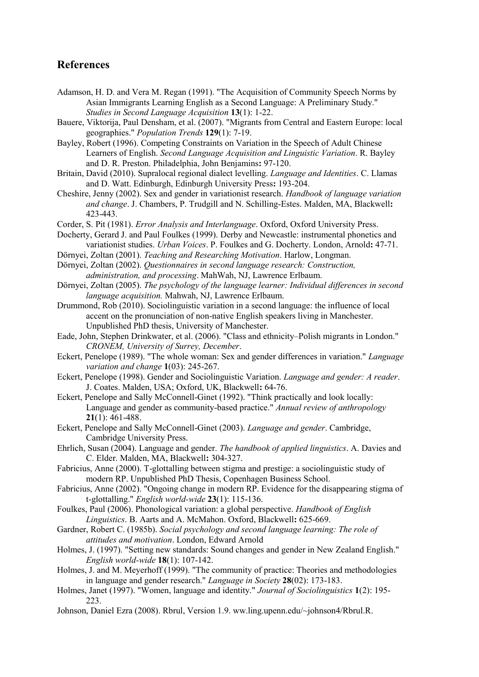# **References**

- Adamson, H. D. and Vera M. Regan (1991). "The Acquisition of Community Speech Norms by Asian Immigrants Learning English as a Second Language: A Preliminary Study." *Studies in Second Language Acquisition* **13**(1): 1-22.
- Bauere, Viktorija, Paul Densham, et al. (2007). "Migrants from Central and Eastern Europe: local geographies." *Population Trends* **129**(1): 7-19.
- Bayley, Robert (1996). Competing Constraints on Variation in the Speech of Adult Chinese Learners of English. *Second Language Acquisition and Linguistic Variation*. R. Bayley and D. R. Preston. Philadelphia, John Benjamins**:** 97-120.
- Britain, David (2010). Supralocal regional dialect levelling. *Language and Identities*. C. Llamas and D. Watt. Edinburgh, Edinburgh University Press**:** 193-204.
- Cheshire, Jenny (2002). Sex and gender in variationist research. *Handbook of language variation and change*. J. Chambers, P. Trudgill and N. Schilling-Estes. Malden, MA, Blackwell**:**  423-443.
- Corder, S. Pit (1981). *Error Analysis and Interlanguage*. Oxford, Oxford University Press.
- Docherty, Gerard J. and Paul Foulkes (1999). Derby and Newcastle: instrumental phonetics and variationist studies. *Urban Voices*. P. Foulkes and G. Docherty. London, Arnold**:** 47-71.
- Dörnyei, Zoltan (2001). *Teaching and Researching Motivation*. Harlow, Longman.
- Dörnyei, Zoltan (2002). *Questionnaires in second language research: Construction, administration, and processing*. MahWah, NJ, Lawrence Erlbaum.
- Dörnyei, Zoltan (2005). *The psychology of the language learner: Individual differences in second language acquisition.* Mahwah, NJ, Lawrence Erlbaum.
- Drummond, Rob (2010). Sociolinguistic variation in a second language: the influence of local accent on the pronunciation of non-native English speakers living in Manchester. Unpublished PhD thesis, University of Manchester.
- Eade, John, Stephen Drinkwater, et al. (2006). "Class and ethnicity–Polish migrants in London." *CRONEM, University of Surrey, December*.
- Eckert, Penelope (1989). "The whole woman: Sex and gender differences in variation." *Language variation and change* **1**(03): 245-267.
- Eckert, Penelope (1998). Gender and Sociolinguistic Variation. *Language and gender: A reader*. J. Coates. Malden, USA; Oxford, UK, Blackwell**:** 64-76.
- Eckert, Penelope and Sally McConnell-Ginet (1992). "Think practically and look locally: Language and gender as community-based practice." *Annual review of anthropology* **21**(1): 461-488.
- Eckert, Penelope and Sally McConnell-Ginet (2003). *Language and gender*. Cambridge, Cambridge University Press.
- Ehrlich, Susan (2004). Language and gender. *The handbook of applied linguistics*. A. Davies and C. Elder. Malden, MA, Blackwell**:** 304-327.
- Fabricius, Anne (2000). T-glottalling between stigma and prestige: a sociolinguistic study of modern RP. Unpublished PhD Thesis, Copenhagen Business School.
- Fabricius, Anne (2002). "Ongoing change in modern RP. Evidence for the disappearing stigma of t-glottalling." *English world-wide* **23**(1): 115-136.
- Foulkes, Paul (2006). Phonological variation: a global perspective. *Handbook of English Linguistics*. B. Aarts and A. McMahon. Oxford, Blackwell**:** 625-669.
- Gardner, Robert C. (1985b). *Social psychology and second language learning: The role of attitudes and motivation*. London, Edward Arnold
- Holmes, J. (1997). "Setting new standards: Sound changes and gender in New Zealand English." *English world-wide* **18**(1): 107-142.
- Holmes, J. and M. Meyerhoff (1999). "The community of practice: Theories and methodologies in language and gender research." *Language in Society* **28**(02): 173-183.
- Holmes, Janet (1997). "Women, language and identity." *Journal of Sociolinguistics* **1**(2): 195- 223.
- Johnson, Daniel Ezra (2008). Rbrul, Version 1.9. ww.ling.upenn.edu/~johnson4/Rbrul.R.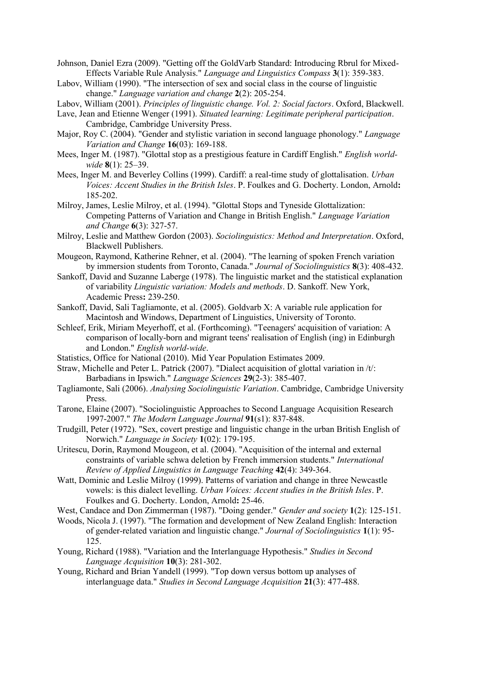Johnson, Daniel Ezra (2009). "Getting off the GoldVarb Standard: Introducing Rbrul for Mixed-Effects Variable Rule Analysis." *Language and Linguistics Compass* **3**(1): 359-383.

- Labov, William (1990). "The intersection of sex and social class in the course of linguistic change." *Language variation and change* **2**(2): 205-254.
- Labov, William (2001). *Principles of linguistic change. Vol. 2: Social factors*. Oxford, Blackwell.
- Lave, Jean and Etienne Wenger (1991). *Situated learning: Legitimate peripheral participation*. Cambridge, Cambridge University Press.
- Major, Roy C. (2004). "Gender and stylistic variation in second language phonology." *Language Variation and Change* **16**(03): 169-188.
- Mees, Inger M. (1987). "Glottal stop as a prestigious feature in Cardiff English." *English worldwide* **8**(1): 25–39.
- Mees, Inger M. and Beverley Collins (1999). Cardiff: a real-time study of glottalisation. *Urban Voices: Accent Studies in the British Isles*. P. Foulkes and G. Docherty. London, Arnold**:**  185-202.
- Milroy, James, Leslie Milroy, et al. (1994). "Glottal Stops and Tyneside Glottalization: Competing Patterns of Variation and Change in British English." *Language Variation and Change* **6**(3): 327-57.
- Milroy, Leslie and Matthew Gordon (2003). *Sociolinguistics: Method and Interpretation*. Oxford, Blackwell Publishers.
- Mougeon, Raymond, Katherine Rehner, et al. (2004). "The learning of spoken French variation by immersion students from Toronto, Canada." *Journal of Sociolinguistics* **8**(3): 408-432.
- Sankoff, David and Suzanne Laberge (1978). The linguistic market and the statistical explanation of variability *Linguistic variation: Models and methods*. D. Sankoff. New York, Academic Press**:** 239-250.
- Sankoff, David, Sali Tagliamonte, et al. (2005). Goldvarb X: A variable rule application for Macintosh and Windows, Department of Linguistics, University of Toronto.
- Schleef, Erik, Miriam Meyerhoff, et al. (Forthcoming). "Teenagers' acquisition of variation: A comparison of locally-born and migrant teens' realisation of English (ing) in Edinburgh and London." *English world-wide*.
- Statistics, Office for National (2010). Mid Year Population Estimates 2009.
- Straw, Michelle and Peter L. Patrick (2007). "Dialect acquisition of glottal variation in /t/: Barbadians in Ipswich." *Language Sciences* **29**(2-3): 385-407.
- Tagliamonte, Sali (2006). *Analysing Sociolinguistic Variation*. Cambridge, Cambridge University Press.
- Tarone, Elaine (2007). "Sociolinguistic Approaches to Second Language Acquisition Research 1997-2007." *The Modern Language Journal* **91**(s1): 837-848.
- Trudgill, Peter (1972). "Sex, covert prestige and linguistic change in the urban British English of Norwich." *Language in Society* **1**(02): 179-195.
- Uritescu, Dorin, Raymond Mougeon, et al. (2004). "Acquisition of the internal and external constraints of variable schwa deletion by French immersion students." *International Review of Applied Linguistics in Language Teaching* **42**(4): 349-364.
- Watt, Dominic and Leslie Milroy (1999). Patterns of variation and change in three Newcastle vowels: is this dialect levelling. *Urban Voices: Accent studies in the British Isles*. P. Foulkes and G. Docherty. London, Arnold**:** 25-46.

West, Candace and Don Zimmerman (1987). "Doing gender." *Gender and society* **1**(2): 125-151.

- Woods, Nicola J. (1997). "The formation and development of New Zealand English: Interaction of gender-related variation and linguistic change." *Journal of Sociolinguistics* **1**(1): 95- 125.
- Young, Richard (1988). "Variation and the Interlanguage Hypothesis." *Studies in Second Language Acquisition* **10**(3): 281-302.
- Young, Richard and Brian Yandell (1999). "Top down versus bottom up analyses of interlanguage data." *Studies in Second Language Acquisition* **21**(3): 477-488.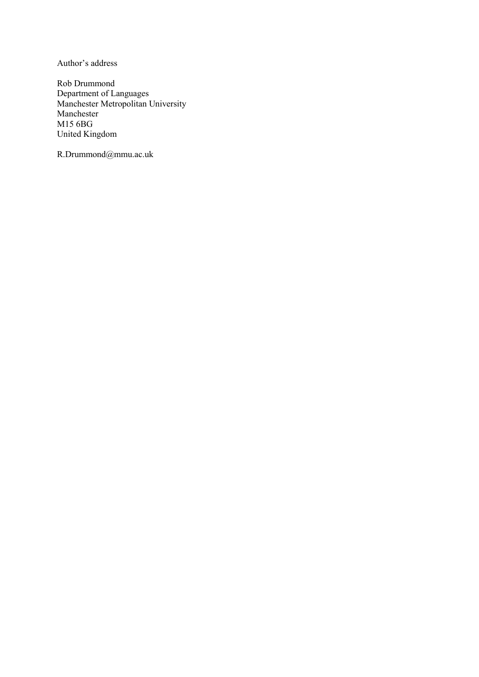Author's address

Rob Drummond Department of Languages Manchester Metropolitan University Manchester M15 6BG United Kingdom

R.Drummond@mmu.ac.uk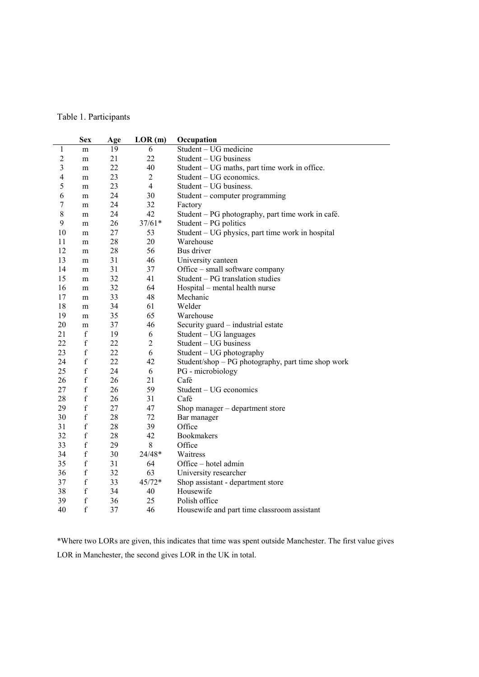| Table 1. Participants |  |
|-----------------------|--|
|-----------------------|--|

|                | <b>Sex</b>  | Age | LOR(m)         | Occupation                                         |
|----------------|-------------|-----|----------------|----------------------------------------------------|
| $\mathbf{1}$   | m           | 19  | 6              | Student - UG medicine                              |
| $\overline{c}$ | m           | 21  | 22             | Student – UG business                              |
| $\overline{3}$ | m           | 22  | 40             | Student – UG maths, part time work in office.      |
| $\overline{4}$ | m           | 23  | $\overline{2}$ | Student – UG economics.                            |
| 5              | m           | 23  | $\overline{4}$ | Student - UG business.                             |
| 6              | m           | 24  | 30             | Student – computer programming                     |
| 7              | m           | 24  | 32             | Factory                                            |
| $8\,$          | m           | 24  | 42             | Student – PG photography, part time work in café.  |
| 9              | m           | 26  | $37/61*$       | Student – PG politics                              |
| 10             | m           | 27  | 53             | Student – UG physics, part time work in hospital   |
| 11             | m           | 28  | 20             | Warehouse                                          |
| 12             | m           | 28  | 56             | Bus driver                                         |
| 13             | m           | 31  | 46             | University canteen                                 |
| 14             | m           | 31  | 37             | Office – small software company                    |
| 15             | m           | 32  | 41             | Student – PG translation studies                   |
| 16             | m           | 32  | 64             | Hospital – mental health nurse                     |
| 17             | m           | 33  | 48             | Mechanic                                           |
| 18             | m           | 34  | 61             | Welder                                             |
| 19             | m           | 35  | 65             | Warehouse                                          |
| 20             | m           | 37  | 46             | Security guard – industrial estate                 |
| 21             | $\mathbf f$ | 19  | 6              | Student – UG languages                             |
| 22             | $\mathbf f$ | 22  | $\overline{2}$ | Student - UG business                              |
| 23             | $\mathbf f$ | 22  | 6              | Student – UG photography                           |
| 24             | f           | 22  | 42             | Student/shop - PG photography, part time shop work |
| 25             | $\mathbf f$ | 24  | 6              | PG - microbiology                                  |
| 26             | $\mathbf f$ | 26  | 21             | Café                                               |
| 27             | $\mathbf f$ | 26  | 59             | Student - UG economics                             |
| 28             | $\mathbf f$ | 26  | 31             | Café                                               |
| 29             | $\mathbf f$ | 27  | 47             | Shop manager - department store                    |
| 30             | f           | 28  | 72             | Bar manager                                        |
| 31             | f           | 28  | 39             | Office                                             |
| 32             | $\mathbf f$ | 28  | 42             | <b>Bookmakers</b>                                  |
| 33             | $\mathbf f$ | 29  | $\,$ 8 $\,$    | Office                                             |
| 34             | $\mathbf f$ | 30  | $24/48*$       | Waitress                                           |
| 35             | $\mathbf f$ | 31  | 64             | Office - hotel admin                               |
| 36             | f           | 32  | 63             | University researcher                              |
| 37             | $\mathbf f$ | 33  | $45/72*$       | Shop assistant - department store                  |
| 38             | $\mathbf f$ | 34  | 40             | Housewife                                          |
| 39             | $\mathbf f$ | 36  | 25             | Polish office                                      |
| 40             | f           | 37  | 46             | Housewife and part time classroom assistant        |

\*Where two LORs are given, this indicates that time was spent outside Manchester. The first value gives LOR in Manchester, the second gives LOR in the UK in total.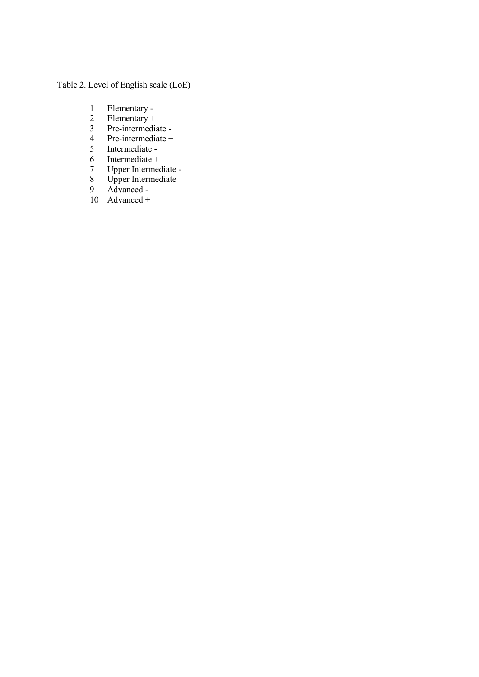# Table 2. Level of English scale (LoE)

- Elementary -
- 2 | Elementary +
- $\begin{array}{c|c}\n3 & \text{Pre-intermediate} \\
4 & \text{Pre-intermediate} + \n\end{array}$
- $\begin{array}{c|c}\n4 & \text{Pre-intermediate +}\n5 & \text{Intermediate -}\n\end{array}$
- Intermediate -
- Intermediate +
- Upper Intermediate -
- Upper Intermediate +
- Advanced -
- Advanced +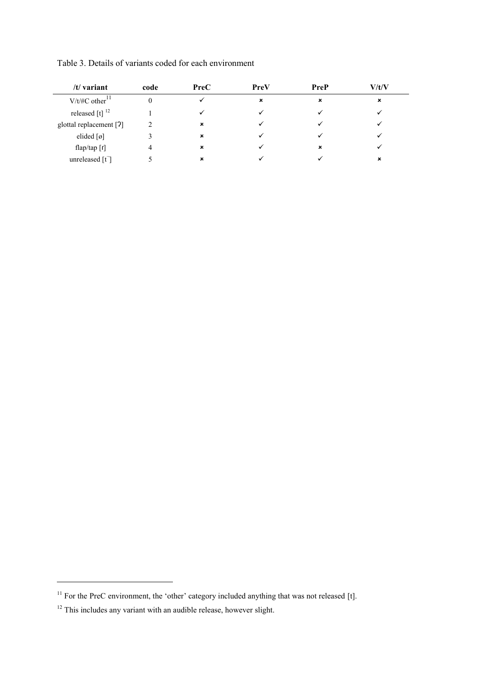| $/t/$ variant                      | code     | PreC | PreV | PreP | V/t/V |
|------------------------------------|----------|------|------|------|-------|
| $V/t/\#C$ other <sup>11</sup>      | $\theta$ |      | ×    | ×    | ×     |
| released $[t]$ <sup>12</sup>       |          |      |      |      |       |
| glottal replacement [2]            |          | ×    |      |      |       |
| elided $\lceil \varnothing \rceil$ |          | ×    |      |      |       |
| flap/tap $[r]$                     |          | ×    |      | ×    |       |
| unreleased $[t]$                   |          | ×    |      |      | ×     |

Table 3. Details of variants coded for each environment

l

 $11$  For the PreC environment, the 'other' category included anything that was not released [t].

<sup>&</sup>lt;sup>12</sup> This includes any variant with an audible release, however slight.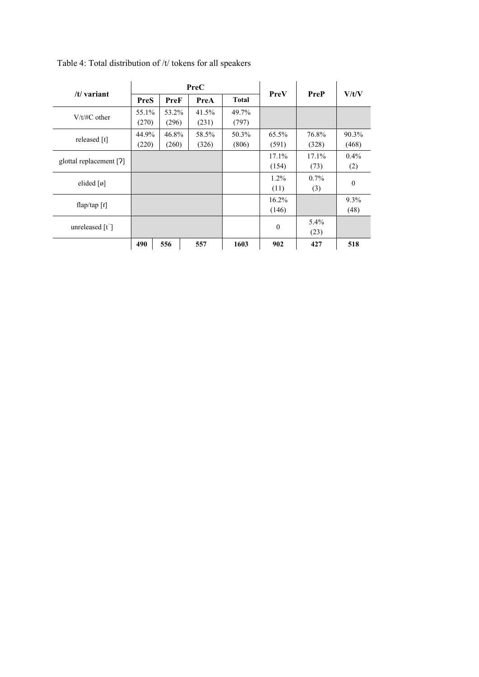|                                     |                | PreC           |                |                |                 | PreP           |                 |
|-------------------------------------|----------------|----------------|----------------|----------------|-----------------|----------------|-----------------|
| $/t/$ variant                       | <b>PreS</b>    | PreF           | PreA           | <b>Total</b>   | PreV            |                | V/t/V           |
| $V/t/\#C$ other                     | 55.1%<br>(270) | 53.2%<br>(296) | 41.5%<br>(231) | 49.7%<br>(797) |                 |                |                 |
| released [t]                        | 44.9%<br>(220) | 46.8%<br>(260) | 58.5%<br>(326) | 50.3%<br>(806) | 65.5%<br>(591)  | 76.8%<br>(328) | 90.3%<br>(468)  |
| glottal replacement [2]             |                |                |                |                | 17.1%<br>(154)  | 17.1%<br>(73)  | $0.4\%$<br>(2)  |
| elided $\lceil \varnothing \rceil$  |                |                |                |                | $1.2\%$<br>(11) | 0.7%<br>(3)    | $\overline{0}$  |
| flap/tap $\lceil \mathbf{r} \rceil$ |                |                |                |                | 16.2%<br>(146)  |                | $9.3\%$<br>(48) |
| unreleased $[t]$                    |                |                |                |                | $\theta$        | 5.4%<br>(23)   |                 |
|                                     | 490            | 556            | 557            | 1603           | 902             | 427            | 518             |

Table 4: Total distribution of /t/ tokens for all speakers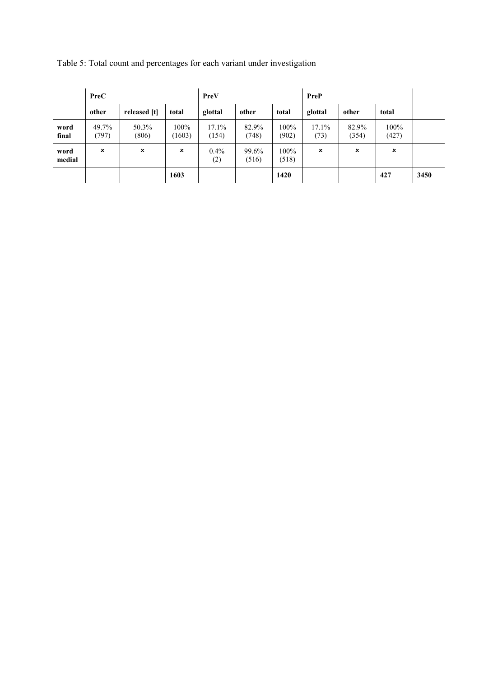| Table 5: Total count and percentages for each variant under investigation |  |
|---------------------------------------------------------------------------|--|
|                                                                           |  |

|                | <b>PreC</b>    |                | PreV           |                | PreP           |               |                |                |                  |      |
|----------------|----------------|----------------|----------------|----------------|----------------|---------------|----------------|----------------|------------------|------|
|                | other          | released [t]   | total          | glottal        | other          | total         | glottal        | other          | total            |      |
| word<br>final  | 49.7%<br>(797) | 50.3%<br>(806) | 100%<br>(1603) | 17.1%<br>(154) | 82.9%<br>(748) | 100%<br>(902) | 17.1%<br>(73)  | 82.9%<br>(354) | $100\%$<br>(427) |      |
| word<br>medial | $\pmb{\times}$ | $\pmb{\times}$ | $\pmb{\times}$ | $0.4\%$<br>(2) | 99.6%<br>(516) | 100%<br>(518) | $\pmb{\times}$ | ×              | $\pmb{\times}$   |      |
|                |                |                | 1603           |                |                | 1420          |                |                | 427              | 3450 |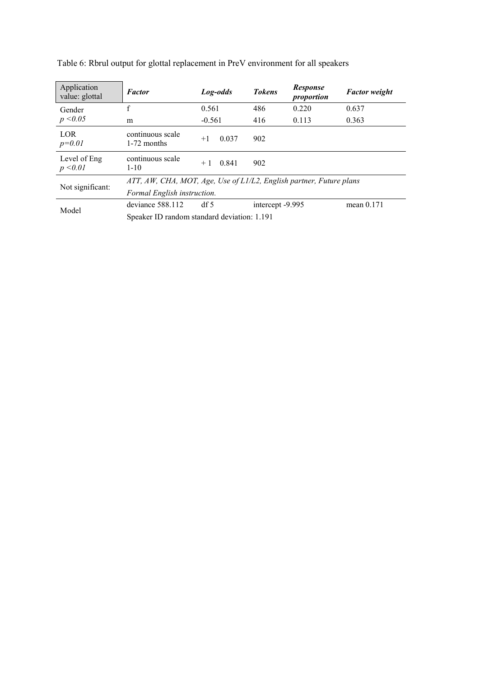| Application<br>value: glottal | <b>Factor</b>                                                       | Log-odds        | <b>Tokens</b>    | <b>Response</b><br>proportion | <b>Factor</b> weight |  |  |
|-------------------------------|---------------------------------------------------------------------|-----------------|------------------|-------------------------------|----------------------|--|--|
| Gender                        | f                                                                   | 0.561           | 486              | 0.220                         | 0.637                |  |  |
| p < 0.05                      | m                                                                   | $-0.561$        | 416              | 0.113                         | 0.363                |  |  |
| LOR.<br>$p=0.01$              | continuous scale<br>$1-72$ months                                   | 0.037<br>$+1$   | 902              |                               |                      |  |  |
| Level of Eng<br>p < 0.01      | continuous scale<br>$1 - 10$                                        | 0.841<br>$+1$   | 902              |                               |                      |  |  |
| Not significant:              | ATT, AW, CHA, MOT, Age, Use of L1/L2, English partner, Future plans |                 |                  |                               |                      |  |  |
|                               | Formal English instruction.                                         |                 |                  |                               |                      |  |  |
| Model                         | deviance 588.112                                                    | df <sub>5</sub> | intercept -9.995 |                               | mean $0.171$         |  |  |
|                               | Speaker ID random standard deviation: 1.191                         |                 |                  |                               |                      |  |  |

Table 6: Rbrul output for glottal replacement in PreV environment for all speakers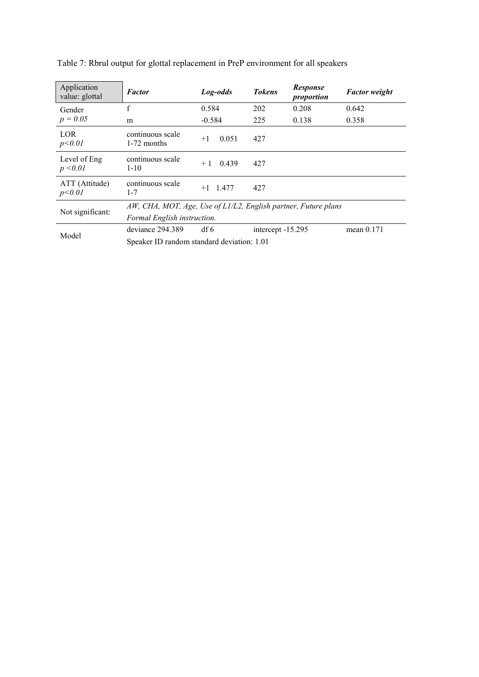| Application<br>value: glottal | <b>Factor</b>                                                  | Log-odds        | <b>Tokens</b>     | <b>Response</b><br>proportion | <b>Factor</b> weight |
|-------------------------------|----------------------------------------------------------------|-----------------|-------------------|-------------------------------|----------------------|
| Gender                        | $\mathbf f$                                                    | 0.584           | 202               | 0.208                         | 0.642                |
| $p = 0.05$                    | m                                                              | $-0.584$        | 225               | 0.138                         | 0.358                |
| LOR<br>p<0.01                 | continuous scale<br>1-72 months                                | 0.051<br>$+1$   | 427               |                               |                      |
| Level of Eng<br>p < 0.01      | continuous scale<br>$1 - 10$                                   | 0.439<br>$+1$   | 427               |                               |                      |
| ATT (Attitude)<br>p<0.01      | continuous scale<br>$1 - 7$                                    | $+1$ 1.477      | 427               |                               |                      |
|                               | AW, CHA, MOT, Age, Use of L1/L2, English partner, Future plans |                 |                   |                               |                      |
| Not significant:              | Formal English instruction.                                    |                 |                   |                               |                      |
|                               | deviance 294.389                                               | df <sub>6</sub> | intercept -15.295 |                               | mean $0.171$         |
| Model                         | Speaker ID random standard deviation: 1.01                     |                 |                   |                               |                      |

Table 7: Rbrul output for glottal replacement in PreP environment for all speakers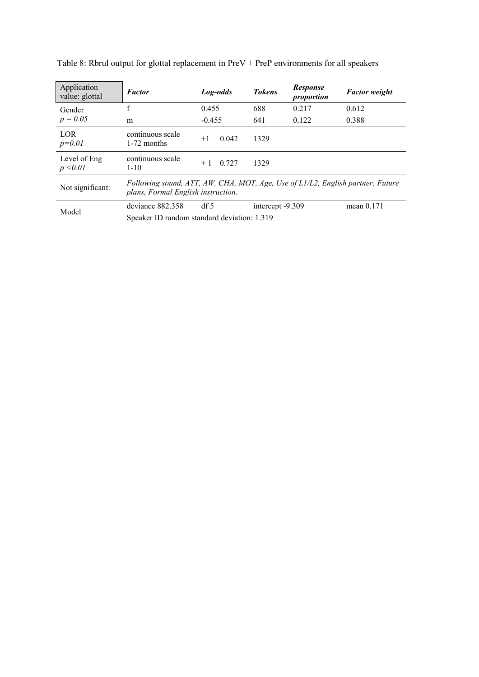| Application<br>value: glottal | <b>Factor</b>                                                                                                        | Log-odds        | <b>Tokens</b>    | <b>Response</b><br>proportion | <b>Factor</b> weight |
|-------------------------------|----------------------------------------------------------------------------------------------------------------------|-----------------|------------------|-------------------------------|----------------------|
| Gender                        | f                                                                                                                    | 0.455           | 688              | 0.217                         | 0.612                |
| $p = 0.05$                    | m                                                                                                                    | $-0.455$        | 641              | 0.122                         | 0.388                |
| LOR.<br>$p=0.01$              | continuous scale<br>1-72 months                                                                                      | 0.042<br>$+1$   | 1329             |                               |                      |
| Level of Eng<br>p < 0.01      | continuous scale<br>$1 - 10$                                                                                         | 0.727<br>$+1$   | 1329             |                               |                      |
| Not significant:              | Following sound, ATT, AW, CHA, MOT, Age, Use of L1/L2, English partner, Future<br>plans, Formal English instruction. |                 |                  |                               |                      |
| Model                         | deviance 882.358                                                                                                     | df <sub>5</sub> | intercept -9.309 |                               | mean $0.171$         |
|                               | Speaker ID random standard deviation: 1.319                                                                          |                 |                  |                               |                      |

Table 8: Rbrul output for glottal replacement in PreV + PreP environments for all speakers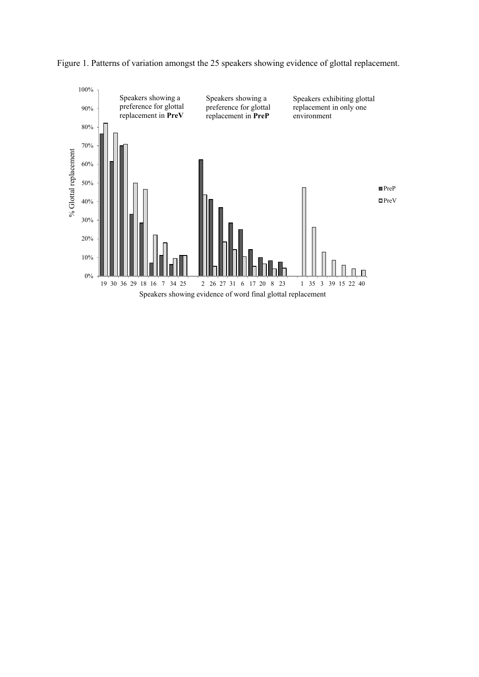

Figure 1. Patterns of variation amongst the 25 speakers showing evidence of glottal replacement.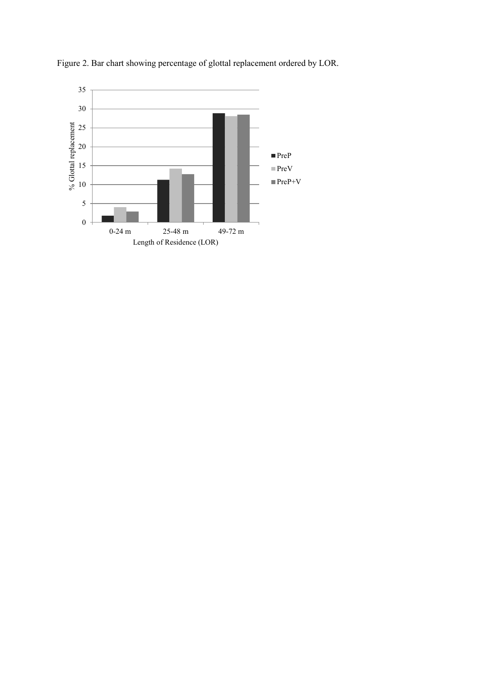

Figure 2. Bar chart showing percentage of glottal replacement ordered by LOR.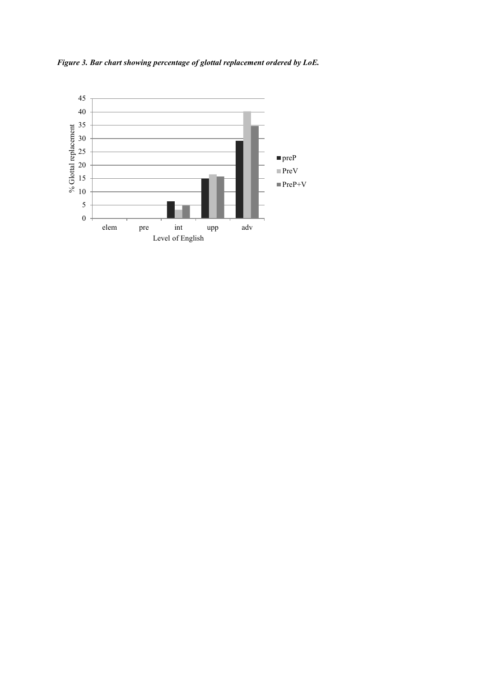*Figure 3. Bar chart showing percentage of glottal replacement ordered by LoE.*

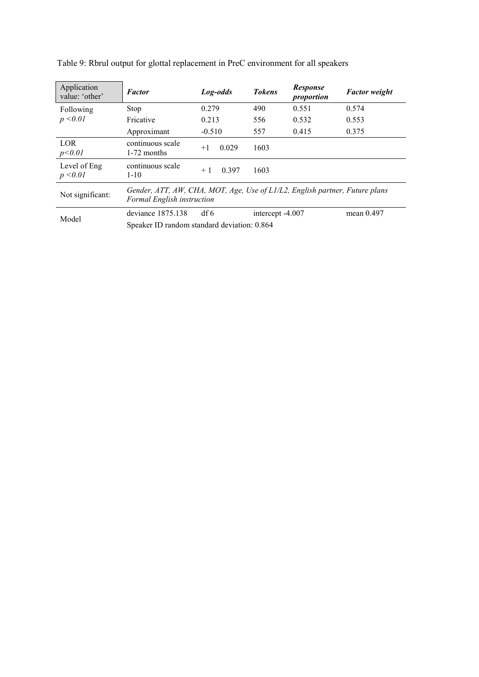| Application<br>value: 'other' | Factor                                                                                                    | Log-odds        | <b>Tokens</b>    | <b>Response</b><br>proportion | <b>Factor</b> weight |
|-------------------------------|-----------------------------------------------------------------------------------------------------------|-----------------|------------------|-------------------------------|----------------------|
| Following                     | Stop                                                                                                      | 0.279           | 490              | 0.551                         | 0.574                |
| p < 0.01                      | Fricative                                                                                                 | 0.213           | 556              | 0.532                         | 0.553                |
|                               | Approximant                                                                                               | $-0.510$        | 557              | 0.415                         | 0.375                |
| <b>LOR</b><br>p<0.01          | continuous scale<br>1-72 months                                                                           | 0.029<br>$+1$   | 1603             |                               |                      |
| Level of Eng<br>p < 0.01      | continuous scale<br>$1 - 10$                                                                              | 0.397<br>$+1$   | 1603             |                               |                      |
| Not significant:              | Gender, ATT, AW, CHA, MOT, Age, Use of L1/L2, English partner, Future plans<br>Formal English instruction |                 |                  |                               |                      |
|                               | deviance 1875.138                                                                                         | df <sub>6</sub> | intercept -4.007 |                               | mean 0.497           |
| Model                         | Speaker ID random standard deviation: 0.864                                                               |                 |                  |                               |                      |

Table 9: Rbrul output for glottal replacement in PreC environment for all speakers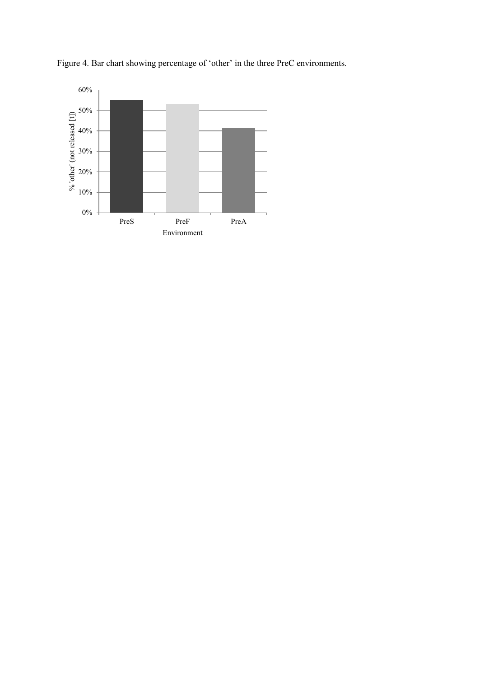

Figure 4. Bar chart showing percentage of 'other' in the three PreC environments.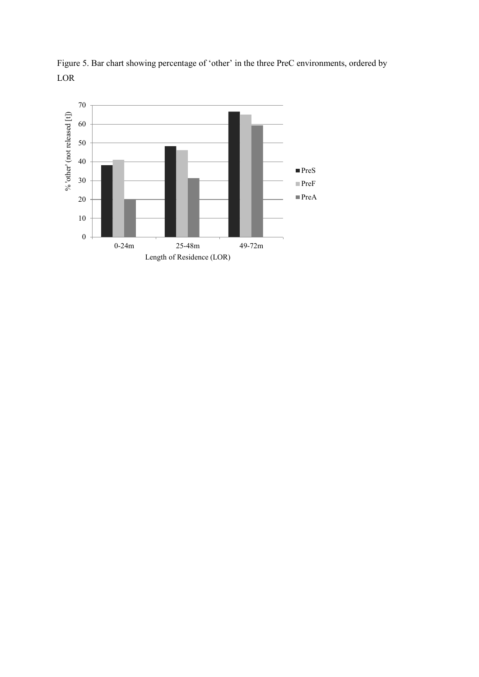

Figure 5. Bar chart showing percentage of 'other' in the three PreC environments, ordered by LOR